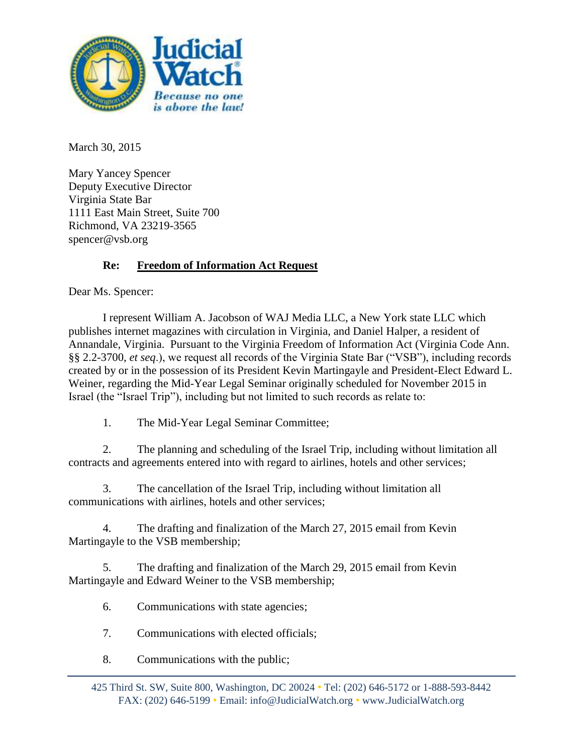

March 30, 2015

Mary Yancey Spencer Deputy Executive Director Virginia State Bar 1111 East Main Street, Suite 700 Richmond, VA 23219-3565 spencer@vsb.org

## **Re: Freedom of Information Act Request**

Dear Ms. Spencer:

I represent William A. Jacobson of WAJ Media LLC, a New York state LLC which publishes internet magazines with circulation in Virginia, and Daniel Halper, a resident of Annandale, Virginia. Pursuant to the Virginia Freedom of Information Act (Virginia Code Ann. §§ 2.2-3700, *et seq*.), we request all records of the Virginia State Bar ("VSB"), including records created by or in the possession of its President Kevin Martingayle and President-Elect Edward L. Weiner, regarding the Mid-Year Legal Seminar originally scheduled for November 2015 in Israel (the "Israel Trip"), including but not limited to such records as relate to:

1. The Mid-Year Legal Seminar Committee;

2. The planning and scheduling of the Israel Trip, including without limitation all contracts and agreements entered into with regard to airlines, hotels and other services;

3. The cancellation of the Israel Trip, including without limitation all communications with airlines, hotels and other services;

4. The drafting and finalization of the March 27, 2015 email from Kevin Martingayle to the VSB membership;

5. The drafting and finalization of the March 29, 2015 email from Kevin Martingayle and Edward Weiner to the VSB membership;

6. Communications with state agencies;

7. Communications with elected officials;

8. Communications with the public;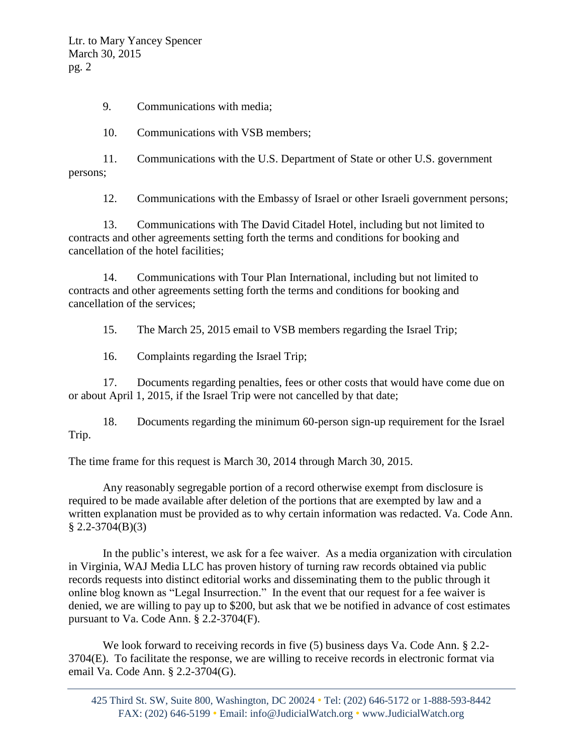Ltr. to Mary Yancey Spencer March 30, 2015 pg. 2

9. Communications with media;

10. Communications with VSB members;

11. Communications with the U.S. Department of State or other U.S. government persons;

12. Communications with the Embassy of Israel or other Israeli government persons;

13. Communications with The David Citadel Hotel, including but not limited to contracts and other agreements setting forth the terms and conditions for booking and cancellation of the hotel facilities;

14. Communications with Tour Plan International, including but not limited to contracts and other agreements setting forth the terms and conditions for booking and cancellation of the services;

15. The March 25, 2015 email to VSB members regarding the Israel Trip;

16. Complaints regarding the Israel Trip;

17. Documents regarding penalties, fees or other costs that would have come due on or about April 1, 2015, if the Israel Trip were not cancelled by that date;

18. Documents regarding the minimum 60-person sign-up requirement for the Israel Trip.

The time frame for this request is March 30, 2014 through March 30, 2015.

Any reasonably segregable portion of a record otherwise exempt from disclosure is required to be made available after deletion of the portions that are exempted by law and a written explanation must be provided as to why certain information was redacted. Va. Code Ann.  $$2.2-3704(B)(3)$ 

In the public's interest, we ask for a fee waiver. As a media organization with circulation in Virginia, WAJ Media LLC has proven history of turning raw records obtained via public records requests into distinct editorial works and disseminating them to the public through it online blog known as "Legal Insurrection." In the event that our request for a fee waiver is denied, we are willing to pay up to \$200, but ask that we be notified in advance of cost estimates pursuant to Va. Code Ann. § 2.2-3704(F).

We look forward to receiving records in five (5) business days Va. Code Ann. § 2.2- 3704(E). To facilitate the response, we are willing to receive records in electronic format via email Va. Code Ann. § 2.2-3704(G).

425 Third St. SW, Suite 800, Washington, DC 20024 • Tel: (202) 646-5172 or 1-888-593-8442 FAX: (202) 646-5199 • Email: info@JudicialWatch.org • www.JudicialWatch.org